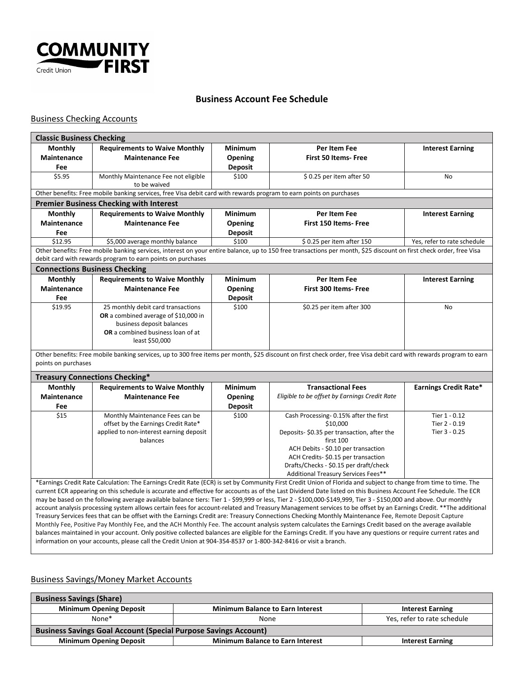

## **Business Account Fee Schedule**

## Business Checking Accounts

| <b>Classic Business Checking</b>                                                                                                                                                                                                                                                                                                      |                                                                                                                     |                |                                                                                                                                                                     |                              |  |  |  |
|---------------------------------------------------------------------------------------------------------------------------------------------------------------------------------------------------------------------------------------------------------------------------------------------------------------------------------------|---------------------------------------------------------------------------------------------------------------------|----------------|---------------------------------------------------------------------------------------------------------------------------------------------------------------------|------------------------------|--|--|--|
| <b>Monthly</b>                                                                                                                                                                                                                                                                                                                        | <b>Requirements to Waive Monthly</b>                                                                                | Minimum        | Per Item Fee                                                                                                                                                        | <b>Interest Earning</b>      |  |  |  |
| <b>Maintenance</b>                                                                                                                                                                                                                                                                                                                    | <b>Maintenance Fee</b>                                                                                              | Opening        | First 50 Items- Free                                                                                                                                                |                              |  |  |  |
| Fee                                                                                                                                                                                                                                                                                                                                   |                                                                                                                     | <b>Deposit</b> |                                                                                                                                                                     |                              |  |  |  |
| \$5.95                                                                                                                                                                                                                                                                                                                                | Monthly Maintenance Fee not eligible                                                                                | \$100          | \$0.25 per item after 50                                                                                                                                            | <b>No</b>                    |  |  |  |
|                                                                                                                                                                                                                                                                                                                                       | to be waived                                                                                                        |                |                                                                                                                                                                     |                              |  |  |  |
|                                                                                                                                                                                                                                                                                                                                       | Other benefits: Free mobile banking services, free Visa debit card with rewards program to earn points on purchases |                |                                                                                                                                                                     |                              |  |  |  |
| <b>Premier Business Checking with Interest</b>                                                                                                                                                                                                                                                                                        |                                                                                                                     |                |                                                                                                                                                                     |                              |  |  |  |
| <b>Monthly</b>                                                                                                                                                                                                                                                                                                                        | <b>Requirements to Waive Monthly</b>                                                                                | <b>Minimum</b> | Per Item Fee                                                                                                                                                        | <b>Interest Earning</b>      |  |  |  |
| <b>Maintenance</b>                                                                                                                                                                                                                                                                                                                    | <b>Maintenance Fee</b>                                                                                              | Opening        | <b>First 150 Items- Free</b>                                                                                                                                        |                              |  |  |  |
| Fee                                                                                                                                                                                                                                                                                                                                   |                                                                                                                     | <b>Deposit</b> |                                                                                                                                                                     |                              |  |  |  |
| \$12.95                                                                                                                                                                                                                                                                                                                               | \$5,000 average monthly balance                                                                                     | \$100          | \$0.25 per item after 150                                                                                                                                           | Yes, refer to rate schedule  |  |  |  |
|                                                                                                                                                                                                                                                                                                                                       |                                                                                                                     |                | Other benefits: Free mobile banking services, interest on your entire balance, up to 150 free transactions per month, \$25 discount on first check order, free Visa |                              |  |  |  |
|                                                                                                                                                                                                                                                                                                                                       | debit card with rewards program to earn points on purchases                                                         |                |                                                                                                                                                                     |                              |  |  |  |
| <b>Connections Business Checking</b>                                                                                                                                                                                                                                                                                                  |                                                                                                                     |                |                                                                                                                                                                     |                              |  |  |  |
| <b>Monthly</b>                                                                                                                                                                                                                                                                                                                        | <b>Requirements to Waive Monthly</b>                                                                                | <b>Minimum</b> | Per Item Fee                                                                                                                                                        | <b>Interest Earning</b>      |  |  |  |
| Maintenance                                                                                                                                                                                                                                                                                                                           | <b>Maintenance Fee</b>                                                                                              | Opening        | <b>First 300 Items- Free</b>                                                                                                                                        |                              |  |  |  |
| Fee                                                                                                                                                                                                                                                                                                                                   |                                                                                                                     | <b>Deposit</b> |                                                                                                                                                                     |                              |  |  |  |
| \$19.95                                                                                                                                                                                                                                                                                                                               | 25 monthly debit card transactions                                                                                  | \$100          | \$0.25 per item after 300                                                                                                                                           | N <sub>o</sub>               |  |  |  |
|                                                                                                                                                                                                                                                                                                                                       | OR a combined average of \$10,000 in                                                                                |                |                                                                                                                                                                     |                              |  |  |  |
|                                                                                                                                                                                                                                                                                                                                       | business deposit balances                                                                                           |                |                                                                                                                                                                     |                              |  |  |  |
|                                                                                                                                                                                                                                                                                                                                       | OR a combined business loan of at                                                                                   |                |                                                                                                                                                                     |                              |  |  |  |
|                                                                                                                                                                                                                                                                                                                                       | least \$50,000                                                                                                      |                |                                                                                                                                                                     |                              |  |  |  |
| points on purchases                                                                                                                                                                                                                                                                                                                   |                                                                                                                     |                | Other benefits: Free mobile banking services, up to 300 free items per month, \$25 discount on first check order, free Visa debit card with rewards program to earn |                              |  |  |  |
| <b>Treasury Connections Checking*</b>                                                                                                                                                                                                                                                                                                 |                                                                                                                     |                |                                                                                                                                                                     |                              |  |  |  |
| <b>Monthly</b>                                                                                                                                                                                                                                                                                                                        | <b>Requirements to Waive Monthly</b>                                                                                | <b>Minimum</b> | <b>Transactional Fees</b>                                                                                                                                           | <b>Earnings Credit Rate*</b> |  |  |  |
| Maintenance                                                                                                                                                                                                                                                                                                                           | <b>Maintenance Fee</b>                                                                                              | Opening        | Eligible to be offset by Earnings Credit Rate                                                                                                                       |                              |  |  |  |
| Fee                                                                                                                                                                                                                                                                                                                                   |                                                                                                                     | <b>Deposit</b> |                                                                                                                                                                     |                              |  |  |  |
| \$15                                                                                                                                                                                                                                                                                                                                  | Monthly Maintenance Fees can be                                                                                     | \$100          | Cash Processing- 0.15% after the first                                                                                                                              | Tier 1 - 0.12                |  |  |  |
|                                                                                                                                                                                                                                                                                                                                       | offset by the Earnings Credit Rate*                                                                                 |                | \$10,000                                                                                                                                                            | Tier 2 - 0.19                |  |  |  |
|                                                                                                                                                                                                                                                                                                                                       | applied to non-interest earning deposit                                                                             |                | Deposits-\$0.35 per transaction, after the                                                                                                                          | Tier 3 - 0.25                |  |  |  |
|                                                                                                                                                                                                                                                                                                                                       | balances                                                                                                            |                | first 100                                                                                                                                                           |                              |  |  |  |
|                                                                                                                                                                                                                                                                                                                                       |                                                                                                                     |                | ACH Debits - \$0.10 per transaction                                                                                                                                 |                              |  |  |  |
|                                                                                                                                                                                                                                                                                                                                       |                                                                                                                     |                | ACH Credits- \$0.15 per transaction                                                                                                                                 |                              |  |  |  |
|                                                                                                                                                                                                                                                                                                                                       |                                                                                                                     |                | Drafts/Checks - \$0.15 per draft/check                                                                                                                              |                              |  |  |  |
|                                                                                                                                                                                                                                                                                                                                       |                                                                                                                     |                | Additional Treasury Services Fees**                                                                                                                                 |                              |  |  |  |
| *Earnings Credit Rate Calculation: The Earnings Credit Rate (ECR) is set by Community First Credit Union of Florida and subject to change from time to time. The                                                                                                                                                                      |                                                                                                                     |                |                                                                                                                                                                     |                              |  |  |  |
| current ECR appearing on this schedule is accurate and effective for accounts as of the Last Dividend Date listed on this Business Account Fee Schedule. The ECR<br>may be based on the following average available balance tiers: Tier 1 - \$99,999 or less. Tier 2 - \$100,000-\$149,999. Tier 3 - \$150,000 and above. Our monthly |                                                                                                                     |                |                                                                                                                                                                     |                              |  |  |  |

- \$99,999 or less, Tier 2 - \$100,000-\$149,999, Tier 3 account analysis processing system allows certain fees for account-related and Treasury Management services to be offset by an Earnings Credit. \*\*The additional Treasury Services fees that can be offset with the Earnings Credit are: Treasury Connections Checking Monthly Maintenance Fee, Remote Deposit Capture Monthly Fee, Positive Pay Monthly Fee, and the ACH Monthly Fee. The account analysis system calculates the Earnings Credit based on the average available balances maintained in your account. Only positive collected balances are eligible for the Earnings Credit. If you have any questions or require current rates and information on your accounts, please call the Credit Union at 904-354-8537 or 1-800-342-8416 or visit a branch.

## Business Savings/Money Market Accounts

| <b>Business Savings (Share)</b>                                        |                                         |                             |  |  |  |  |  |
|------------------------------------------------------------------------|-----------------------------------------|-----------------------------|--|--|--|--|--|
| <b>Minimum Opening Deposit</b>                                         | <b>Minimum Balance to Earn Interest</b> | <b>Interest Earning</b>     |  |  |  |  |  |
| None*                                                                  | None                                    | Yes, refer to rate schedule |  |  |  |  |  |
| <b>Business Savings Goal Account (Special Purpose Savings Account)</b> |                                         |                             |  |  |  |  |  |
| <b>Minimum Opening Deposit</b>                                         | <b>Minimum Balance to Earn Interest</b> | <b>Interest Earning</b>     |  |  |  |  |  |